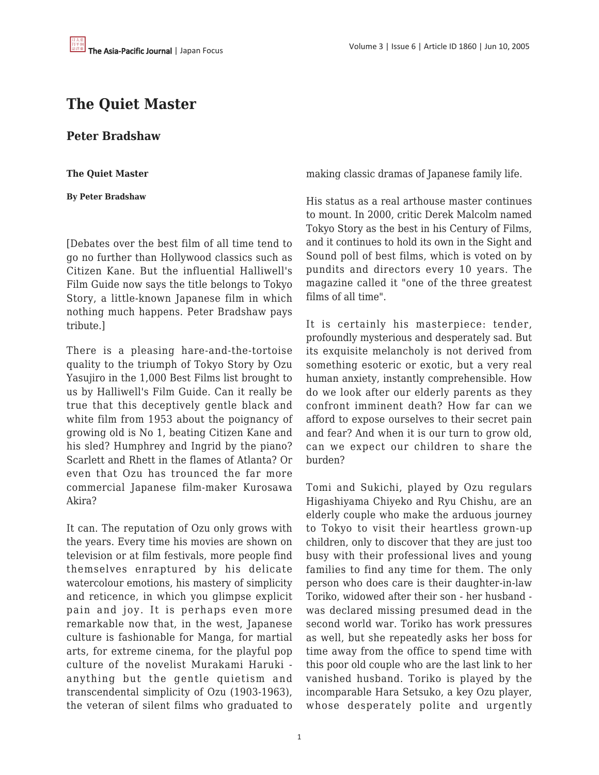## **The Quiet Master**

**Peter Bradshaw**

**The Quiet Master**

**By Peter Bradshaw**

[Debates over the best film of all time tend to go no further than Hollywood classics such as Citizen Kane. But the influential Halliwell's Film Guide now says the title belongs to Tokyo Story, a little-known Japanese film in which nothing much happens. Peter Bradshaw pays tribute.]

There is a pleasing hare-and-the-tortoise quality to the triumph of Tokyo Story by Ozu Yasujiro in the 1,000 Best Films list brought to us by Halliwell's Film Guide. Can it really be true that this deceptively gentle black and white film from 1953 about the poignancy of growing old is No 1, beating Citizen Kane and his sled? Humphrey and Ingrid by the piano? Scarlett and Rhett in the flames of Atlanta? Or even that Ozu has trounced the far more commercial Japanese film-maker Kurosawa Akira?

It can. The reputation of Ozu only grows with the years. Every time his movies are shown on television or at film festivals, more people find themselves enraptured by his delicate watercolour emotions, his mastery of simplicity and reticence, in which you glimpse explicit pain and joy. It is perhaps even more remarkable now that, in the west, Japanese culture is fashionable for Manga, for martial arts, for extreme cinema, for the playful pop culture of the novelist Murakami Haruki anything but the gentle quietism and transcendental simplicity of Ozu (1903-1963), the veteran of silent films who graduated to

making classic dramas of Japanese family life.

His status as a real arthouse master continues to mount. In 2000, critic Derek Malcolm named Tokyo Story as the best in his Century of Films, and it continues to hold its own in the Sight and Sound poll of best films, which is voted on by pundits and directors every 10 years. The magazine called it "one of the three greatest films of all time".

It is certainly his masterpiece: tender, profoundly mysterious and desperately sad. But its exquisite melancholy is not derived from something esoteric or exotic, but a very real human anxiety, instantly comprehensible. How do we look after our elderly parents as they confront imminent death? How far can we afford to expose ourselves to their secret pain and fear? And when it is our turn to grow old, can we expect our children to share the burden?

Tomi and Sukichi, played by Ozu regulars Higashiyama Chiyeko and Ryu Chishu, are an elderly couple who make the arduous journey to Tokyo to visit their heartless grown-up children, only to discover that they are just too busy with their professional lives and young families to find any time for them. The only person who does care is their daughter-in-law Toriko, widowed after their son - her husband was declared missing presumed dead in the second world war. Toriko has work pressures as well, but she repeatedly asks her boss for time away from the office to spend time with this poor old couple who are the last link to her vanished husband. Toriko is played by the incomparable Hara Setsuko, a key Ozu player, whose desperately polite and urgently